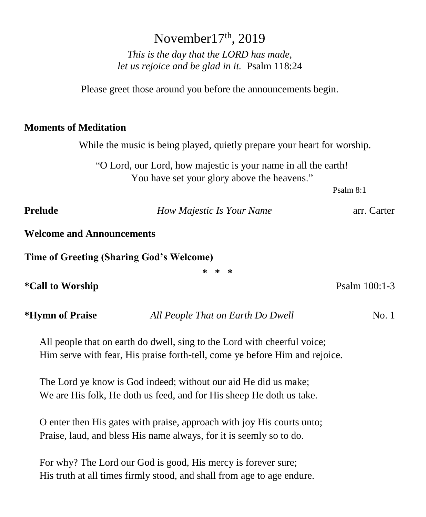| November $17th$ , 2019                                                                                         |                                                               |               |  |  |
|----------------------------------------------------------------------------------------------------------------|---------------------------------------------------------------|---------------|--|--|
| This is the day that the LORD has made,                                                                        |                                                               |               |  |  |
|                                                                                                                | let us rejoice and be glad in it. Psalm 118:24                |               |  |  |
|                                                                                                                |                                                               |               |  |  |
|                                                                                                                | Please greet those around you before the announcements begin. |               |  |  |
|                                                                                                                |                                                               |               |  |  |
| <b>Moments of Meditation</b>                                                                                   |                                                               |               |  |  |
| While the music is being played, quietly prepare your heart for worship.                                       |                                                               |               |  |  |
| "O Lord, our Lord, how majestic is your name in all the earth!"<br>You have set your glory above the heavens." |                                                               |               |  |  |
|                                                                                                                |                                                               | Psalm 8:1     |  |  |
|                                                                                                                |                                                               |               |  |  |
| <b>Prelude</b>                                                                                                 | How Majestic Is Your Name                                     | arr. Carter   |  |  |
| <b>Welcome and Announcements</b>                                                                               |                                                               |               |  |  |
| <b>Time of Greeting (Sharing God's Welcome)</b>                                                                |                                                               |               |  |  |
|                                                                                                                | * * *                                                         |               |  |  |
| <i>*</i> Call to Worship                                                                                       |                                                               | Psalm 100:1-3 |  |  |
| *Hymn of Praise                                                                                                | All People That on Earth Do Dwell                             | No. 1         |  |  |
| All people that on earth do dwell, sing to the Lord with cheerful voice;                                       |                                                               |               |  |  |
| Him serve with fear, His praise forth-tell, come ye before Him and rejoice.                                    |                                                               |               |  |  |

The Lord ye know is God indeed; without our aid He did us make; We are His folk, He doth us feed, and for His sheep He doth us take.

O enter then His gates with praise, approach with joy His courts unto; Praise, laud, and bless His name always, for it is seemly so to do.

For why? The Lord our God is good, His mercy is forever sure; His truth at all times firmly stood, and shall from age to age endure.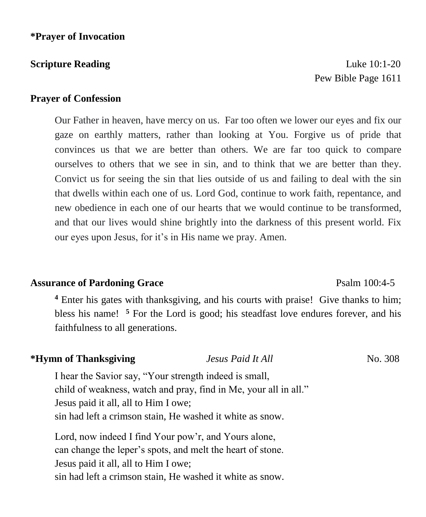**Scripture Reading Luke 10:1-20** Pew Bible Page 1611

## **Prayer of Confession**

Our Father in heaven, have mercy on us. Far too often we lower our eyes and fix our gaze on earthly matters, rather than looking at You. Forgive us of pride that convinces us that we are better than others. We are far too quick to compare ourselves to others that we see in sin, and to think that we are better than they. Convict us for seeing the sin that lies outside of us and failing to deal with the sin that dwells within each one of us. Lord God, continue to work faith, repentance, and new obedience in each one of our hearts that we would continue to be transformed, and that our lives would shine brightly into the darkness of this present world. Fix our eyes upon Jesus, for it's in His name we pray. Amen.

## **Assurance of Pardoning Grace** Psalm 100:4-5

**<sup>4</sup>** Enter his gates with thanksgiving, and his courts with praise! Give thanks to him; bless his name! **<sup>5</sup>** For the Lord is good; his steadfast love endures forever, and his faithfulness to all generations.

### *\**Hymn of Thanksgiving *Jesus Paid It All* No. 308

I hear the Savior say, "Your strength indeed is small, child of weakness, watch and pray, find in Me, your all in all." Jesus paid it all, all to Him I owe; sin had left a crimson stain, He washed it white as snow.

Lord, now indeed I find Your pow'r, and Yours alone, can change the leper's spots, and melt the heart of stone. Jesus paid it all, all to Him I owe; sin had left a crimson stain, He washed it white as snow.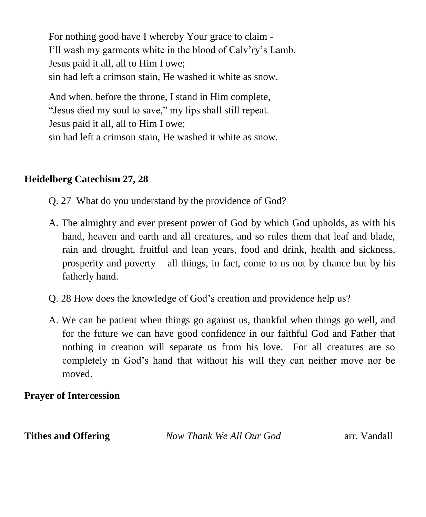For nothing good have I whereby Your grace to claim - I'll wash my garments white in the blood of Calv'ry's Lamb. Jesus paid it all, all to Him I owe; sin had left a crimson stain, He washed it white as snow.

And when, before the throne, I stand in Him complete, "Jesus died my soul to save," my lips shall still repeat. Jesus paid it all, all to Him I owe; sin had left a crimson stain, He washed it white as snow.

## **Heidelberg Catechism 27, 28**

- Q. 27 What do you understand by the providence of God?
- A. The almighty and ever present power of God by which God upholds, as with his hand, heaven and earth and all creatures, and so rules them that leaf and blade, rain and drought, fruitful and lean years, food and drink, health and sickness, prosperity and poverty – all things, in fact, come to us not by chance but by his fatherly hand.
- Q. 28 How does the knowledge of God's creation and providence help us?
- A. We can be patient when things go against us, thankful when things go well, and for the future we can have good confidence in our faithful God and Father that nothing in creation will separate us from his love. For all creatures are so completely in God's hand that without his will they can neither move nor be moved.

## **Prayer of Intercession**

**Tithes and Offering** *Now Thank We All Our God* arr. Vandall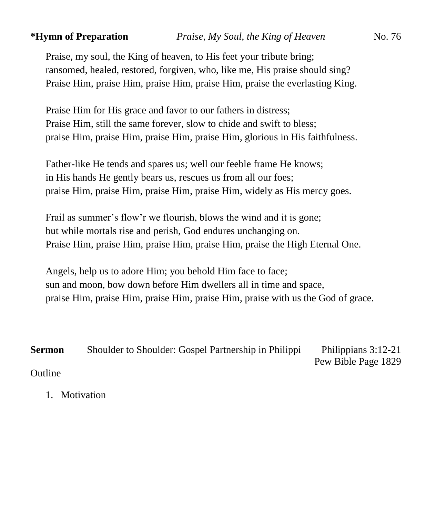Praise, my soul, the King of heaven, to His feet your tribute bring; ransomed, healed, restored, forgiven, who, like me, His praise should sing? Praise Him, praise Him, praise Him, praise Him, praise the everlasting King.

Praise Him for His grace and favor to our fathers in distress; Praise Him, still the same forever, slow to chide and swift to bless; praise Him, praise Him, praise Him, praise Him, glorious in His faithfulness.

Father-like He tends and spares us; well our feeble frame He knows; in His hands He gently bears us, rescues us from all our foes; praise Him, praise Him, praise Him, praise Him, widely as His mercy goes.

Frail as summer's flow'r we flourish, blows the wind and it is gone; but while mortals rise and perish, God endures unchanging on. Praise Him, praise Him, praise Him, praise Him, praise the High Eternal One.

Angels, help us to adore Him; you behold Him face to face; sun and moon, bow down before Him dwellers all in time and space, praise Him, praise Him, praise Him, praise Him, praise with us the God of grace.

**Sermon** Shoulder to Shoulder: Gospel Partnership in Philippi Philippians 3:12-21 Pew Bible Page 1829 Outline

1. Motivation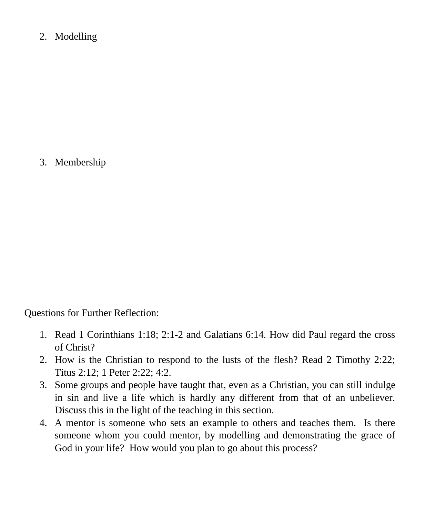2. Modelling

3. Membership

Questions for Further Reflection:

- 1. Read 1 Corinthians 1:18; 2:1-2 and Galatians 6:14. How did Paul regard the cross of Christ?
- 2. How is the Christian to respond to the lusts of the flesh? Read 2 Timothy 2:22; Titus 2:12; 1 Peter 2:22; 4:2.
- 3. Some groups and people have taught that, even as a Christian, you can still indulge in sin and live a life which is hardly any different from that of an unbeliever. Discuss this in the light of the teaching in this section.
- 4. A mentor is someone who sets an example to others and teaches them. Is there someone whom you could mentor, by modelling and demonstrating the grace of God in your life? How would you plan to go about this process?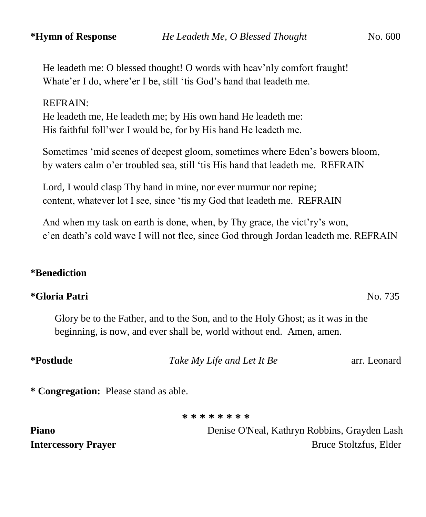He leadeth me: O blessed thought! O words with heav'nly comfort fraught! Whate'er I do, where'er I be, still 'tis God's hand that leadeth me.

## REFRAIN:

He leadeth me, He leadeth me; by His own hand He leadeth me: His faithful foll'wer I would be, for by His hand He leadeth me.

Sometimes 'mid scenes of deepest gloom, sometimes where Eden's bowers bloom, by waters calm o'er troubled sea, still 'tis His hand that leadeth me. REFRAIN

Lord, I would clasp Thy hand in mine, nor ever murmur nor repine; content, whatever lot I see, since 'tis my God that leadeth me. REFRAIN

And when my task on earth is done, when, by Thy grace, the vict'ry's won, e'en death's cold wave I will not flee, since God through Jordan leadeth me. REFRAIN

## **\*Benediction**

## **\*Gloria Patri** No. 735

Glory be to the Father, and to the Son, and to the Holy Ghost; as it was in the beginning, is now, and ever shall be, world without end. Amen, amen.

| <i>*Postlude</i> | Take My Life and Let It Be            | arr. Leonard |
|------------------|---------------------------------------|--------------|
|                  | * Congregation: Please stand as able. |              |

**\* \* \* \* \* \* \* \***

**Piano** Denise O'Neal, Kathryn Robbins, Grayden Lash **Intercessory Prayer** Bruce Stoltzfus, Elder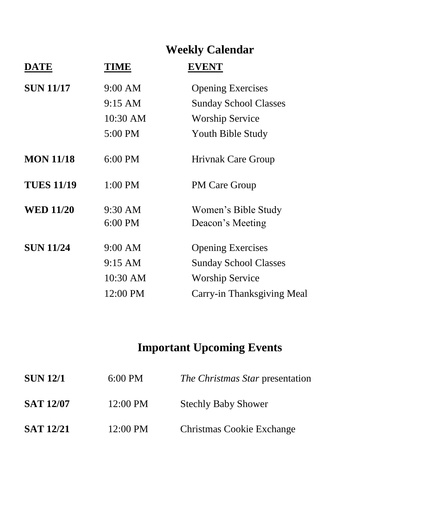# **Weekly Calendar**

| <b>DATE</b>       | TIME     | <b>EVENT</b>                 |
|-------------------|----------|------------------------------|
| <b>SUN 11/17</b>  | 9:00 AM  | <b>Opening Exercises</b>     |
|                   | 9:15 AM  | <b>Sunday School Classes</b> |
|                   | 10:30 AM | <b>Worship Service</b>       |
|                   | 5:00 PM  | Youth Bible Study            |
| <b>MON 11/18</b>  | 6:00 PM  | <b>Hrivnak Care Group</b>    |
| <b>TUES 11/19</b> | 1:00 PM  | <b>PM Care Group</b>         |
| <b>WED 11/20</b>  | 9:30 AM  | Women's Bible Study          |
|                   | 6:00 PM  | Deacon's Meeting             |
| <b>SUN 11/24</b>  | 9:00 AM  | <b>Opening Exercises</b>     |
|                   | 9:15 AM  | <b>Sunday School Classes</b> |
|                   | 10:30 AM | <b>Worship Service</b>       |
|                   | 12:00 PM | Carry-in Thanksgiving Meal   |
|                   |          |                              |

# **Important Upcoming Events**

| <b>SUN 12/1</b>  | $6:00 \text{ PM}$  | The Christmas Star presentation |  |
|------------------|--------------------|---------------------------------|--|
| <b>SAT 12/07</b> | $12:00 \text{ PM}$ | <b>Stechly Baby Shower</b>      |  |
| <b>SAT 12/21</b> | $12:00 \text{ PM}$ | Christmas Cookie Exchange       |  |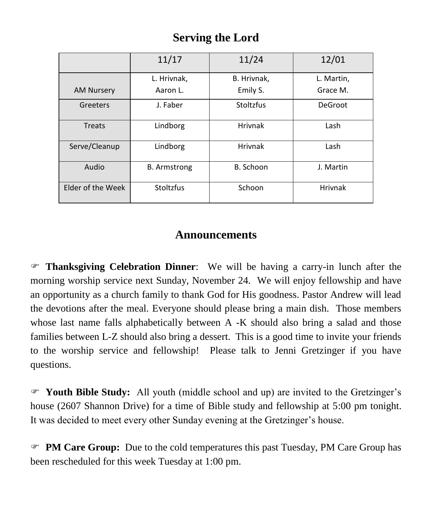## **Serving the Lord**

|                   | 11/17               | 11/24          | 12/01          |
|-------------------|---------------------|----------------|----------------|
|                   | L. Hrivnak,         | B. Hrivnak,    | L. Martin,     |
| <b>AM Nursery</b> | Aaron L.            | Emily S.       | Grace M.       |
| Greeters          | J. Faber            | Stoltzfus      | <b>DeGroot</b> |
| Treats            | Lindborg            | <b>Hrivnak</b> | Lash           |
| Serve/Cleanup     | Lindborg            | <b>Hrivnak</b> | Lash           |
| Audio             | <b>B.</b> Armstrong | B. Schoon      | J. Martin      |
| Elder of the Week | Stoltzfus           | Schoon         | <b>Hrivnak</b> |

## **Announcements**

 **Thanksgiving Celebration Dinner**: We will be having a carry-in lunch after the morning worship service next Sunday, November 24. We will enjoy fellowship and have an opportunity as a church family to thank God for His goodness. Pastor Andrew will lead the devotions after the meal. Everyone should please bring a main dish. Those members whose last name falls alphabetically between A -K should also bring a salad and those families between L-Z should also bring a dessert. This is a good time to invite your friends to the worship service and fellowship! Please talk to Jenni Gretzinger if you have questions.

 **Youth Bible Study:** All youth (middle school and up) are invited to the Gretzinger's house (2607 Shannon Drive) for a time of Bible study and fellowship at 5:00 pm tonight. It was decided to meet every other Sunday evening at the Gretzinger's house.

 **PM Care Group:** Due to the cold temperatures this past Tuesday, PM Care Group has been rescheduled for this week Tuesday at 1:00 pm.